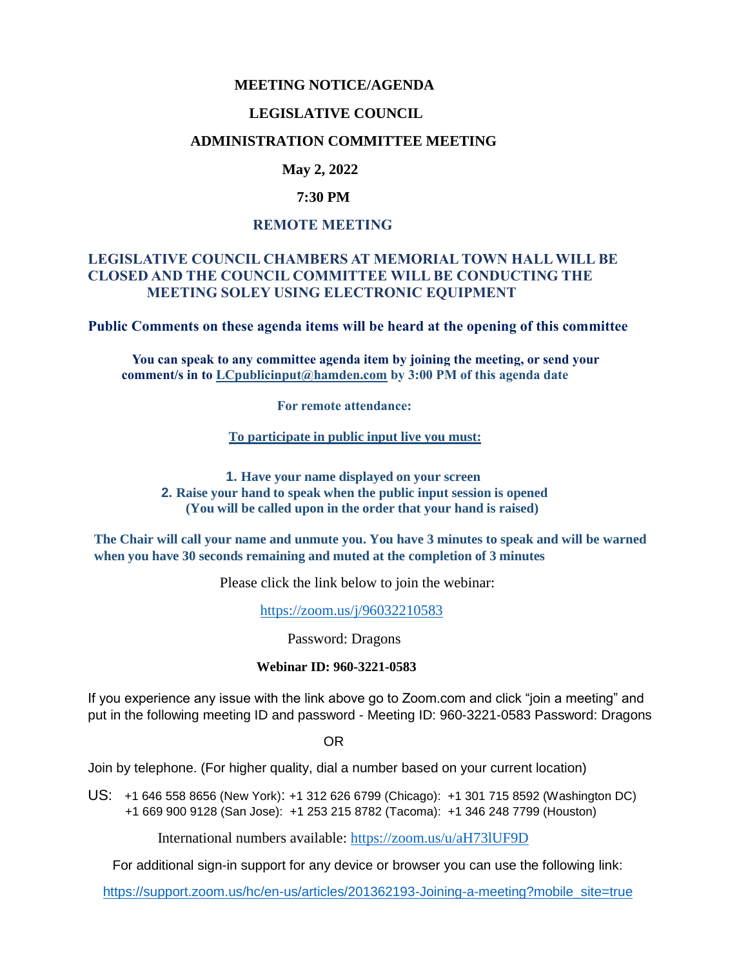### **MEETING NOTICE/AGENDA**

### **LEGISLATIVE COUNCIL**

### **ADMINISTRATION COMMITTEE MEETING**

# **May 2, 2022**

### **7:30 PM**

### **REMOTE MEETING**

### **LEGISLATIVE COUNCIL CHAMBERS AT MEMORIAL TOWN HALL WILL BE CLOSED AND THE COUNCIL COMMITTEE WILL BE CONDUCTING THE MEETING SOLEY USING ELECTRONIC EQUIPMENT**

**Public Comments on these agenda items will be heard at the opening of this committee** 

 **You can speak to any committee agenda item by joining the meeting, or send your comment/s in to [LCpublicinput@hamden.com](mailto:LCpublicinput@hamden.com) by 3:00 PM of this agenda date**

 **For remote attendance:**

**To participate in public input live you must:**

**1. Have your name displayed on your screen 2. Raise your hand to speak when the public input session is opened (You will be called upon in the order that your hand is raised)**

**The Chair will call your name and unmute you. You have 3 minutes to speak and will be warned when you have 30 seconds remaining and muted at the completion of 3 minutes**

Please click the link below to join the webinar:

<https://zoom.us/j/96032210583>

Password: Dragons

#### **Webinar ID: 960-3221-0583**

If you experience any issue with the link above go to Zoom.com and click "join a meeting" and put in the following meeting ID and password - Meeting ID: 960-3221-0583 Password: Dragons

OR

Join by telephone. (For higher quality, dial a number based on your current location)

US: [+1 646 558 8656 \(New York\)](tel:+16465588656): [+1 312 626 6799 \(Chicago\):](tel:+13126266799) [+1 301 715 8592 \(Washington DC\)](tel:+13017158592) +1 669 900 9128 (San Jose): [+1 253 215 8782 \(Tacoma\):](tel:+12532158782) [+1 346 248 7799 \(Houston\)](tel:+13462487799)

International numbers available:<https://zoom.us/u/aH73lUF9D>

For additional sign-in support for any device or browser you can use the following link:

[https://support.zoom.us/hc/en-us/articles/201362193-Joining-a-meeting?mobile\\_site=true](https://support.zoom.us/hc/en-us/articles/201362193-Joining-a-meeting?mobile_site=true)